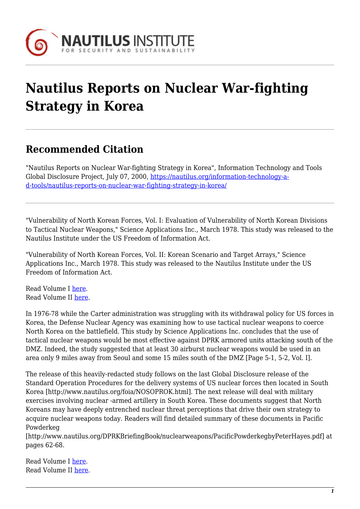

## **Nautilus Reports on Nuclear War-fighting Strategy in Korea**

## **Recommended Citation**

"Nautilus Reports on Nuclear War-fighting Strategy in Korea", Information Technology and Tools Global Disclosure Project, July 07, 2000, [https://nautilus.org/information-technology-a](https://nautilus.org/information-technology-and-tools/nautilus-reports-on-nuclear-war-fighting-strategy-in-korea/)[d-tools/nautilus-reports-on-nuclear-war-fighting-strategy-in-korea/](https://nautilus.org/information-technology-and-tools/nautilus-reports-on-nuclear-war-fighting-strategy-in-korea/)

"Vulnerability of North Korean Forces, Vol. I: Evaluation of Vulnerability of North Korean Divisions to Tactical Nuclear Weapons," Science Applications Inc., March 1978. This study was released to the Nautilus Institute under the US Freedom of Information Act.

"Vulnerability of North Korean Forces, Vol. II: Korean Scenario and Target Arrays," Science Applications Inc., March 1978. This study was released to the Nautilus Institute under the US Freedom of Information Act.

Read Volume I [here](https://nautilus.org/wp-content/uploads/2015/03/VulnerableI.pdf). Read Volume II [here](https://nautilus.org/wp-content/uploads/2015/03/VulnerableII.pdf).

In 1976-78 while the Carter administration was struggling with its withdrawal policy for US forces in Korea, the Defense Nuclear Agency was examining how to use tactical nuclear weapons to coerce North Korea on the battlefield. This study by Science Applications Inc. concludes that the use of tactical nuclear weapons would be most effective against DPRK armored units attacking south of the DMZ. Indeed, the study suggested that at least 30 airburst nuclear weapons would be used in an area only 9 miles away from Seoul and some 15 miles south of the DMZ [Page 5-1, 5-2, Vol. I].

The release of this heavily-redacted study follows on the last Global Disclosure release of the Standard Operation Procedures for the delivery systems of US nuclear forces then located in South Korea [http://www.nautilus.org/foia/NOSOPROK.html]. The next release will deal with military exercises involving nuclear -armed artillery in South Korea. These documents suggest that North Koreans may have deeply entrenched nuclear threat perceptions that drive their own strategy to acquire nuclear weapons today. Readers will find detailed summary of these documents in Pacific Powderkeg

[http://www.nautilus.org/DPRKBriefingBook/nuclearweapons/PacificPowderkegbyPeterHayes.pdf] at pages 62-68.

Read Volume I [here](https://nautilus.org/wp-content/uploads/2015/03/VulnerableI.pdf). Read Volume II [here](https://nautilus.org/wp-content/uploads/2015/03/VulnerableII.pdf).